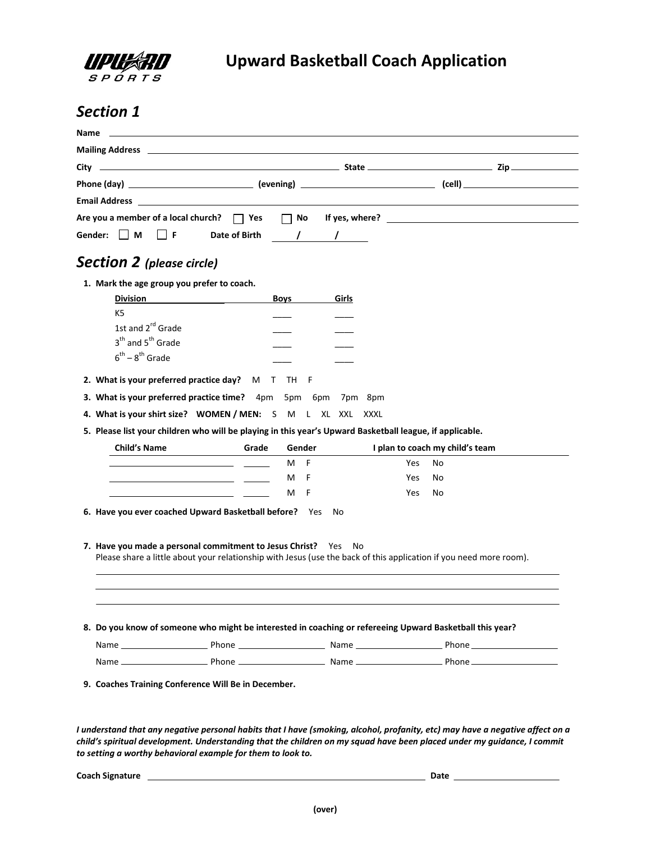

## *Section 1*

|                                                                                                          |       |                     |            | Are you a member of a local church? $\Box$ Yes $\Box$ No If yes, where? $\Box$ Are you a member of a local church? $\Box$ Yes $\Box$ No If yes, where? |  |
|----------------------------------------------------------------------------------------------------------|-------|---------------------|------------|--------------------------------------------------------------------------------------------------------------------------------------------------------|--|
| Gender: M<br>IIF.                                                                                        |       | Date of Birth / / / |            |                                                                                                                                                        |  |
|                                                                                                          |       |                     |            |                                                                                                                                                        |  |
| <b>Section 2</b> (please circle)                                                                         |       |                     |            |                                                                                                                                                        |  |
| 1. Mark the age group you prefer to coach.                                                               |       |                     |            |                                                                                                                                                        |  |
| <b>Division</b>                                                                                          |       | <b>Boys</b>         | Girls      |                                                                                                                                                        |  |
| K <sub>5</sub>                                                                                           |       |                     |            |                                                                                                                                                        |  |
| 1st and 2 <sup>rd</sup> Grade                                                                            |       |                     |            |                                                                                                                                                        |  |
| 3 <sup>th</sup> and 5 <sup>th</sup> Grade                                                                |       |                     |            |                                                                                                                                                        |  |
| $6^{th} - 8^{th}$ Grade                                                                                  |       |                     |            |                                                                                                                                                        |  |
| 2. What is your preferred practice day? M T TH F                                                         |       |                     |            |                                                                                                                                                        |  |
| 3. What is your preferred practice time? 4pm 5pm 6pm 7pm 8pm                                             |       |                     |            |                                                                                                                                                        |  |
|                                                                                                          |       |                     |            |                                                                                                                                                        |  |
| 4. What is your shirt size? WOMEN / MEN: S M L XL XXL XXXL                                               |       |                     |            |                                                                                                                                                        |  |
| 5. Please list your children who will be playing in this year's Upward Basketball league, if applicable. |       |                     |            |                                                                                                                                                        |  |
| <b>Child's Name</b>                                                                                      | Grade | Gender              |            | I plan to coach my child's team                                                                                                                        |  |
|                                                                                                          |       | - F<br>м            | Yes        | No                                                                                                                                                     |  |
|                                                                                                          |       | м<br>F              | <b>Yes</b> | No                                                                                                                                                     |  |
|                                                                                                          |       | м<br>- F            | Yes        | No                                                                                                                                                     |  |
| 6. Have you ever coached Upward Basketball before? Yes                                                   |       | No                  |            |                                                                                                                                                        |  |
|                                                                                                          |       |                     |            |                                                                                                                                                        |  |
| 7. Have you made a personal commitment to Jesus Christ? Yes No                                           |       |                     |            |                                                                                                                                                        |  |
|                                                                                                          |       |                     |            | Please share a little about your relationship with Jesus (use the back of this application if you need more room).                                     |  |
|                                                                                                          |       |                     |            |                                                                                                                                                        |  |
|                                                                                                          |       |                     |            |                                                                                                                                                        |  |
|                                                                                                          |       |                     |            |                                                                                                                                                        |  |
|                                                                                                          |       |                     |            |                                                                                                                                                        |  |
|                                                                                                          |       |                     |            |                                                                                                                                                        |  |
| 8. Do you know of someone who might be interested in coaching or refereeing Upward Basketball this year? |       |                     |            |                                                                                                                                                        |  |
|                                                                                                          |       |                     |            |                                                                                                                                                        |  |

*I understand that any negative personal habits that I have (smoking, alcohol, profanity, etc) may have a negative affect on a child's spiritual development. Understanding that the children on my squad have been placed under my guidance, I commit to setting a worthy behavioral example for them to look to.*